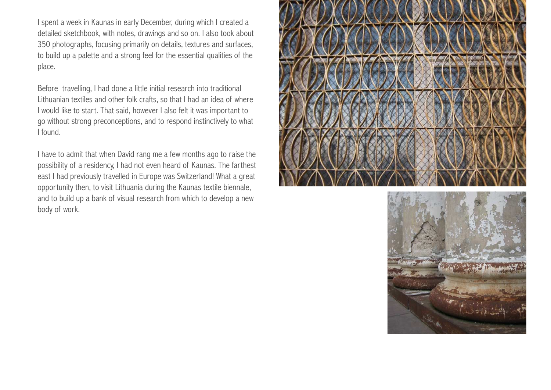I spent a week in Kaunas in early December, during which I created a detailed sketchbook, with notes, drawings and so on. I also took about 350 photographs, focusing primarily on details, textures and surfaces, to build up a palette and a strong feel for the essential qualities of the place.

Before travelling, I had done a little initial research into traditional Lithuanian textiles and other folk crafts, so that I had an idea of where I would like to start. That said, however I also felt it was important to go without strong preconceptions, and to respond instinctively to what I found.

I have to admit that when David rang me a few months ago to raise the possibility of a residency, I had not even heard of Kaunas. The farthest east I had previously travelled in Europe was Switzerland! What a great opportunity then, to visit Lithuania during the Kaunas textile biennale, and to build up a bank of visual research from which to develop a new body of work.



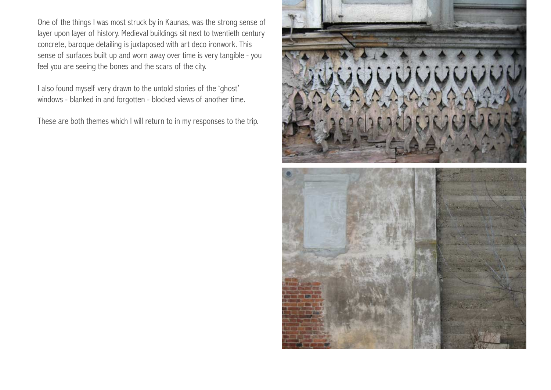One of the things I was most struck by in Kaunas, was the strong sense of layer upon layer of history. Medieval buildings sit next to twentieth century concrete, baroque detailing is juxtaposed with art deco ironwork. This sense of surfaces built up and worn away over time is very tangible - you feel you are seeing the bones and the scars of the city.

I also found myself very drawn to the untold stories of the 'ghost' windows - blanked in and forgotten - blocked views of another time.

These are both themes which I will return to in my responses to the trip.

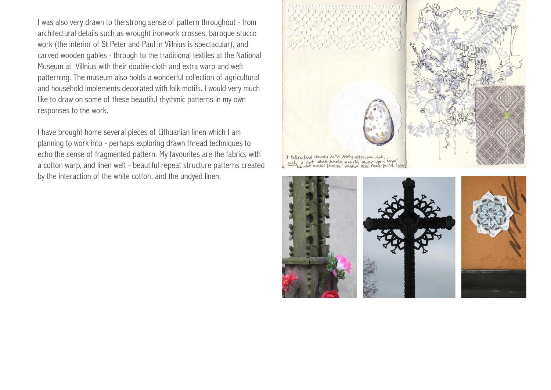I was also very drawn to the strong sense of pattern throughout - from architectural details such as wrought ironwork crosses, baroque stucco work (the interior of St Peter and Paul in Villnius is spectacular), and carved wooden gables - through to the traditional textiles at the National Museum at Villnius with their double-cloth and extra warp and weft patterning. The museum also holds a wonderful collection of agricultural and household implements decorated with folk motifs. I would very much like to draw on some of these beautiful rhythmic patterns in my own responses to the work.

I have brought home several pieces of Lithuanian linen which I am planning to work into - perhaps exploring drawn thread techniques to echo the sense of fragmented pattern. My favourites are the fabrics with a cotton warp, and linen weft - beautiful repeat structure patterns created by the interaction of the white cotton, and the undyed linen.



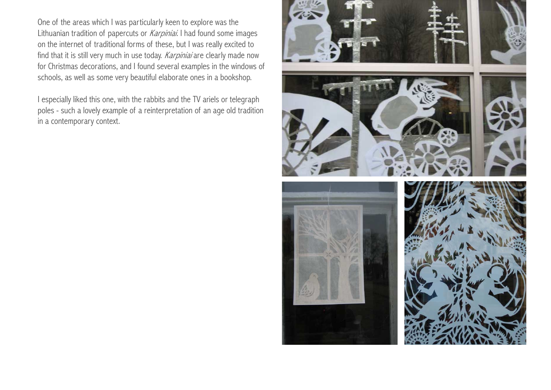One of the areas which I was particularly keen to explore was the Lithuanian tradition of papercuts or *Karpiniai*. I had found some images on the internet of traditional forms of these, but I was really excited to find that it is still very much in use today. Karpiniai are clearly made now for Christmas decorations, and I found several examples in the windows of schools, as well as some very beautiful elaborate ones in a bookshop.

I especially liked this one, with the rabbits and the TV ariels or telegraph poles - such a lovely example of a reinterpretation of an age old tradition in a contemporary context.

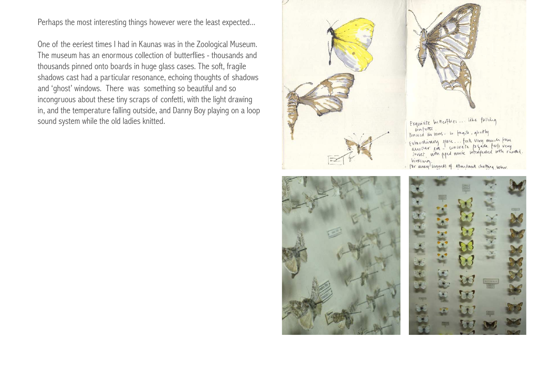Perhaps the most interesting things however were the least expected...

One of the eeriest times I had in Kaunas was in the Zoological Museum. The museum has an enormous collection of butterflies - thousands and thousands pinned onto boards in huge glass cases. The soft, fragile shadows cast had a particular resonance, echoing thoughts of shadows and 'ghost' windows. There was something so beautiful and so incongruous about these tiny scraps of confetti, with the light drawing in, and the temperature falling outside, and Danny Boy playing on a loop sound system while the old ladies knitted.







Exquisite butterflies ... like falling confection linued in vous- so fagile, quottly Extraordinary space ... feels very much from Extraordinary place... Facts very minor point<br>another exa - concrete to gade feels very Wintimig

For answer lovereds of attendance chattering below.

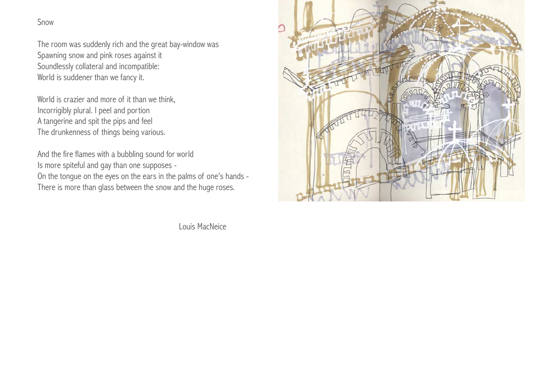Snow

The room was suddenly rich and the great bay-window was Spawning snow and pink roses against it Soundlessly collateral and incompatible: World is suddener than we fancy it.

World is crazier and more of it than we think, Incorrigibly plural. I peel and portion A tangerine and spit the pips and feel The drunkenness of things being various.

And the fire flames with a bubbling sound for world Is more spiteful and gay than one supposes - On the tongue on the eyes on the ears in the palms of one's hands -

There is more than glass between the snow and the huge roses.

Louis MacNeice